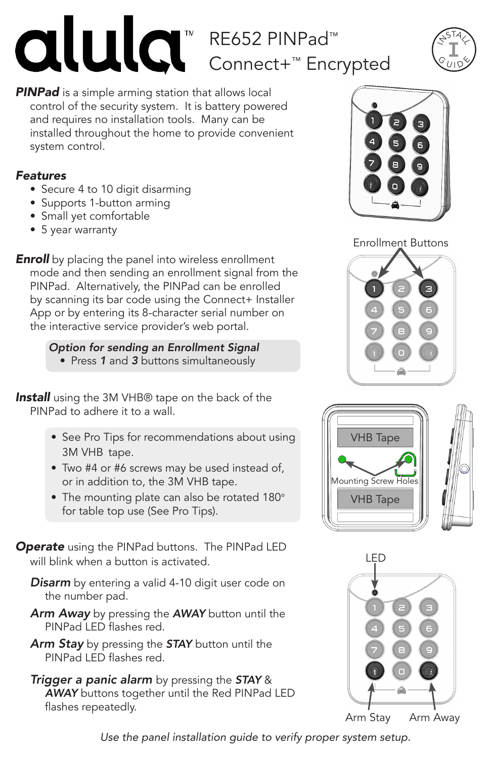

# RE652 PINPad™ Connect+™ Encrypted



**PINPad** is a simple arming station that allows local control of the security system. It is battery powered and requires no installation tools. Many can be installed throughout the home to provide convenient system control.

## *Features*

- Secure 4 to 10 digit disarming
- Supports 1-button arming
- Small yet comfortable
- 5 year warranty

**Enroll** by placing the panel into wireless enrollment mode and then sending an enrollment signal from the PINPad. Alternatively, the PINPad can be enrolled by scanning its bar code using the Connect+ Installer App or by entering its 8-character serial number on the interactive service provider's web portal.

> *Option for sending an Enrollment Signal* • Press *1* and *3* buttons simultaneously

**Install** using the 3M VHB® tape on the back of the PINPad to adhere it to a wall.

- See Pro Tips for recommendations about using 3M VHB tape.
- Two #4 or #6 screws may be used instead of, or in addition to, the 3M VHB tape.
- The mounting plate can also be rotated 180° for table top use (See Pro Tips).

*Operate* using the PINPad buttons. The PINPad LED will blink when a button is activated.

- *Disarm* by entering a valid 4-10 digit user code on the number pad.
- *Arm Away* by pressing the *AWAY* button until the PINPad LED flashes red.
- *Arm Stay* by pressing the *STAY* button until the PINPad LED flashes red.
- *Trigger a panic alarm* by pressing the *STAY* & *AWAY* buttons together until the Red PINPad LED flashes repeatedly.



Enrollment Buttons







*Use the panel installation guide to verify proper system setup.*